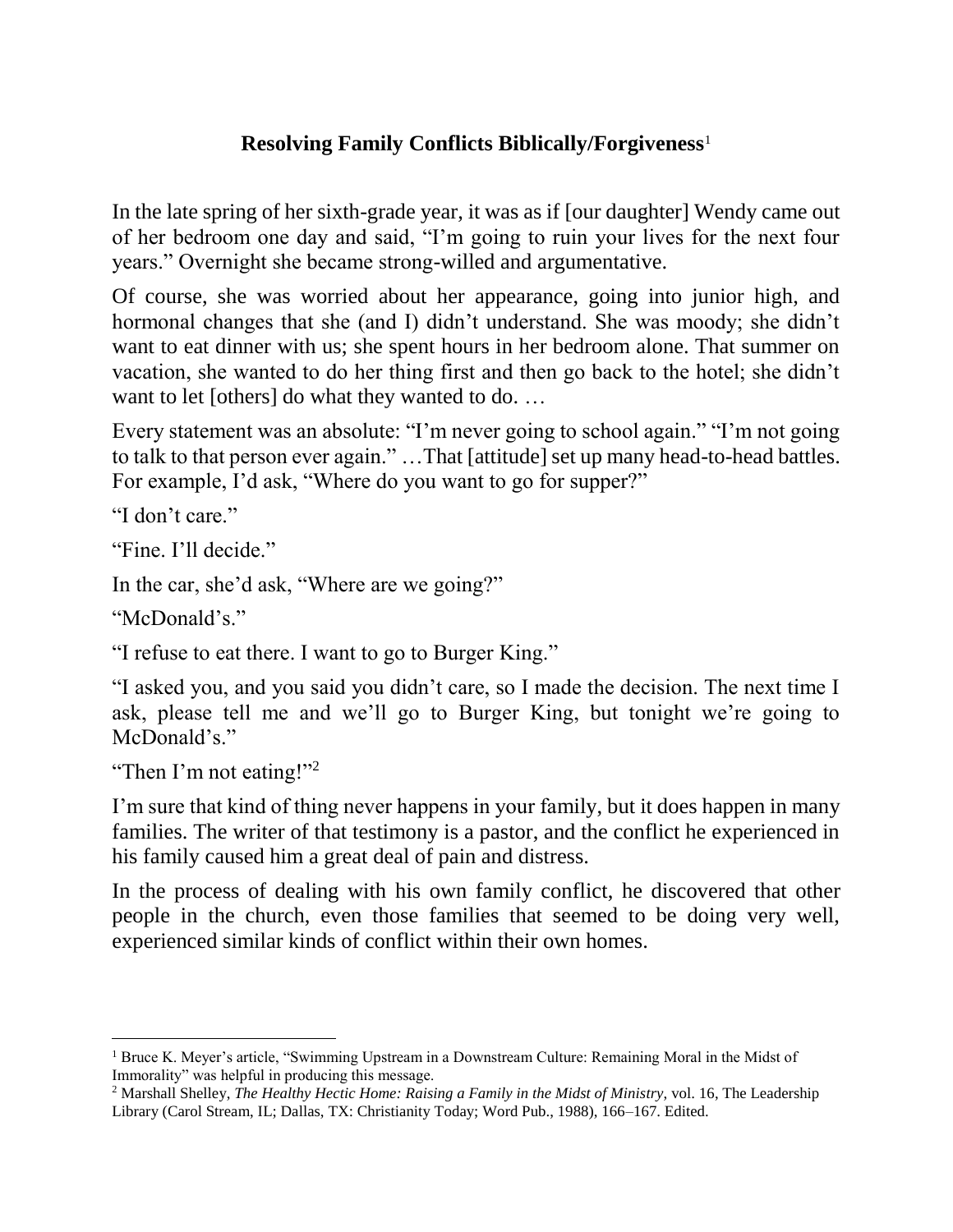## **Resolving Family Conflicts Biblically/Forgiveness**<sup>1</sup>

In the late spring of her sixth-grade year, it was as if [our daughter] Wendy came out of her bedroom one day and said, "I'm going to ruin your lives for the next four years." Overnight she became strong-willed and argumentative.

Of course, she was worried about her appearance, going into junior high, and hormonal changes that she (and I) didn't understand. She was moody; she didn't want to eat dinner with us; she spent hours in her bedroom alone. That summer on vacation, she wanted to do her thing first and then go back to the hotel; she didn't want to let [others] do what they wanted to do. ...

Every statement was an absolute: "I'm never going to school again." "I'm not going to talk to that person ever again." …That [attitude] set up many head-to-head battles. For example, I'd ask, "Where do you want to go for supper?"

"I don't care."

"Fine. I'll decide."

In the car, she'd ask, "Where are we going?"

"McDonald's."

l

"I refuse to eat there. I want to go to Burger King."

"I asked you, and you said you didn't care, so I made the decision. The next time I ask, please tell me and we'll go to Burger King, but tonight we're going to McDonald's."

"Then I'm not eating!"<sup>2</sup>

I'm sure that kind of thing never happens in your family, but it does happen in many families. The writer of that testimony is a pastor, and the conflict he experienced in his family caused him a great deal of pain and distress.

In the process of dealing with his own family conflict, he discovered that other people in the church, even those families that seemed to be doing very well, experienced similar kinds of conflict within their own homes.

<sup>&</sup>lt;sup>1</sup> Bruce K. Meyer's article, "Swimming Upstream in a Downstream Culture: Remaining Moral in the Midst of Immorality" was helpful in producing this message.

<sup>2</sup> Marshall Shelley, *The Healthy Hectic Home: Raising a Family in the Midst of Ministry*, vol. 16, The Leadership Library (Carol Stream, IL; Dallas, TX: Christianity Today; Word Pub., 1988), 166–167. Edited.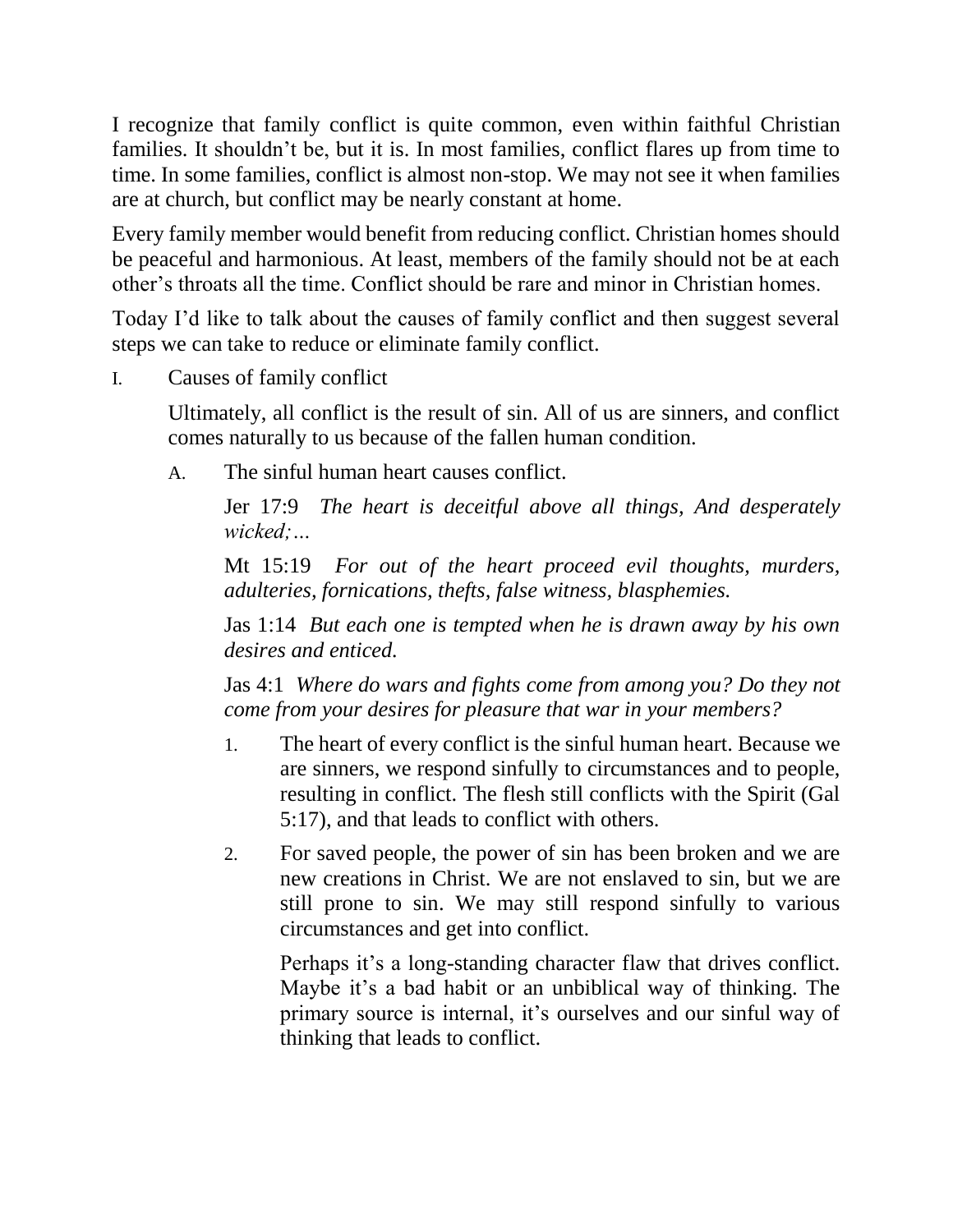I recognize that family conflict is quite common, even within faithful Christian families. It shouldn't be, but it is. In most families, conflict flares up from time to time. In some families, conflict is almost non-stop. We may not see it when families are at church, but conflict may be nearly constant at home.

Every family member would benefit from reducing conflict. Christian homes should be peaceful and harmonious. At least, members of the family should not be at each other's throats all the time. Conflict should be rare and minor in Christian homes.

Today I'd like to talk about the causes of family conflict and then suggest several steps we can take to reduce or eliminate family conflict.

I. Causes of family conflict

Ultimately, all conflict is the result of sin. All of us are sinners, and conflict comes naturally to us because of the fallen human condition.

A. The sinful human heart causes conflict.

Jer 17:9 *The heart is deceitful above all things, And desperately wicked;…*

Mt 15:19 *For out of the heart proceed evil thoughts, murders, adulteries, fornications, thefts, false witness, blasphemies.*

Jas 1:14 *But each one is tempted when he is drawn away by his own desires and enticed.*

Jas 4:1 *Where do wars and fights come from among you? Do they not come from your desires for pleasure that war in your members?*

- 1. The heart of every conflict is the sinful human heart. Because we are sinners, we respond sinfully to circumstances and to people, resulting in conflict. The flesh still conflicts with the Spirit (Gal 5:17), and that leads to conflict with others.
- 2. For saved people, the power of sin has been broken and we are new creations in Christ. We are not enslaved to sin, but we are still prone to sin. We may still respond sinfully to various circumstances and get into conflict.

Perhaps it's a long-standing character flaw that drives conflict. Maybe it's a bad habit or an unbiblical way of thinking. The primary source is internal, it's ourselves and our sinful way of thinking that leads to conflict.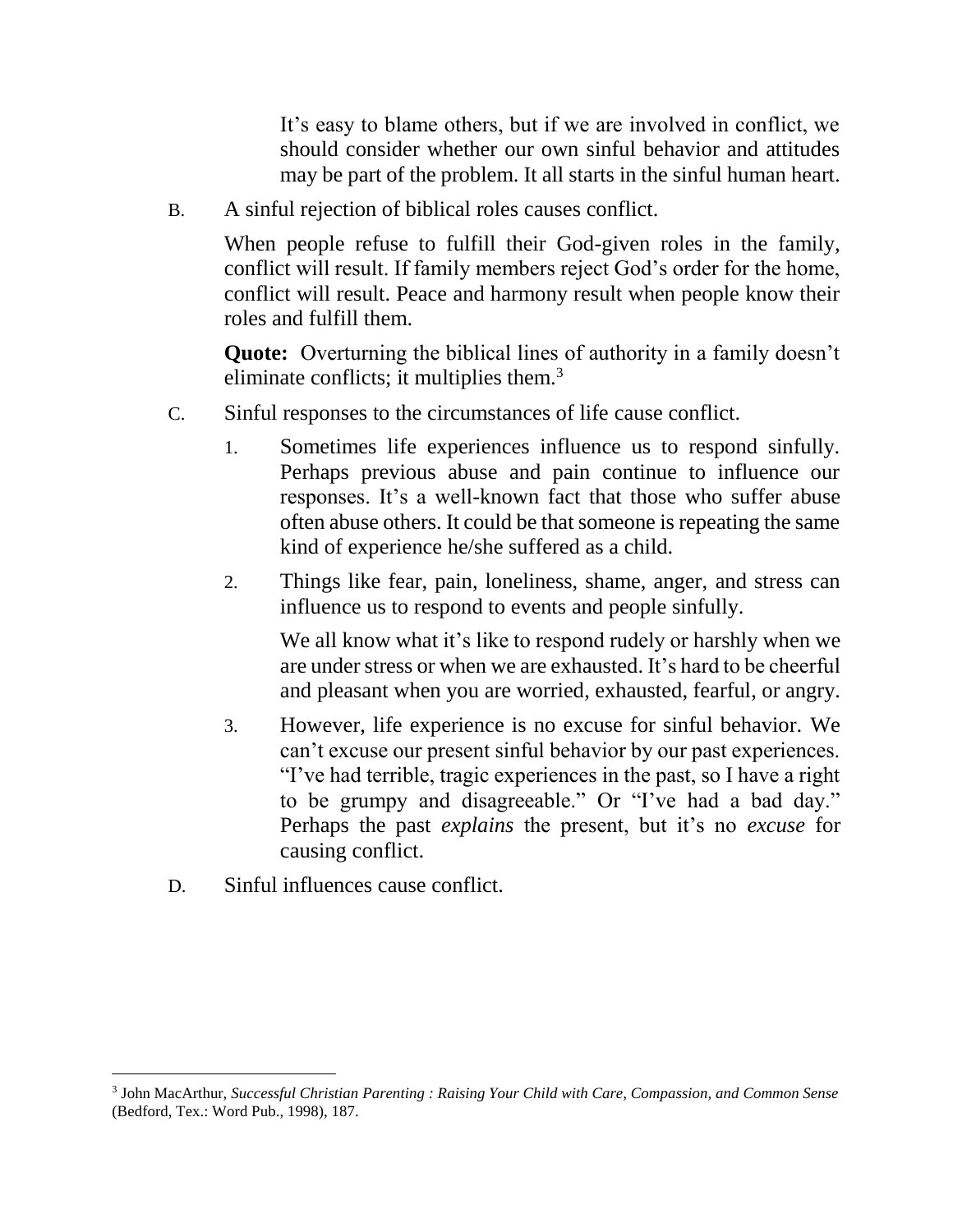It's easy to blame others, but if we are involved in conflict, we should consider whether our own sinful behavior and attitudes may be part of the problem. It all starts in the sinful human heart.

B. A sinful rejection of biblical roles causes conflict.

When people refuse to fulfill their God-given roles in the family, conflict will result. If family members reject God's order for the home, conflict will result. Peace and harmony result when people know their roles and fulfill them.

**Quote:** Overturning the biblical lines of authority in a family doesn't eliminate conflicts; it multiplies them.<sup>3</sup>

- C. Sinful responses to the circumstances of life cause conflict.
	- 1. Sometimes life experiences influence us to respond sinfully. Perhaps previous abuse and pain continue to influence our responses. It's a well-known fact that those who suffer abuse often abuse others. It could be that someone is repeating the same kind of experience he/she suffered as a child.
	- 2. Things like fear, pain, loneliness, shame, anger, and stress can influence us to respond to events and people sinfully.

We all know what it's like to respond rudely or harshly when we are under stress or when we are exhausted. It's hard to be cheerful and pleasant when you are worried, exhausted, fearful, or angry.

- 3. However, life experience is no excuse for sinful behavior. We can't excuse our present sinful behavior by our past experiences. "I've had terrible, tragic experiences in the past, so I have a right to be grumpy and disagreeable." Or "I've had a bad day." Perhaps the past *explains* the present, but it's no *excuse* for causing conflict.
- D. Sinful influences cause conflict.

l

<sup>3</sup> John MacArthur, *Successful Christian Parenting : Raising Your Child with Care, Compassion, and Common Sense* (Bedford, Tex.: Word Pub., 1998), 187.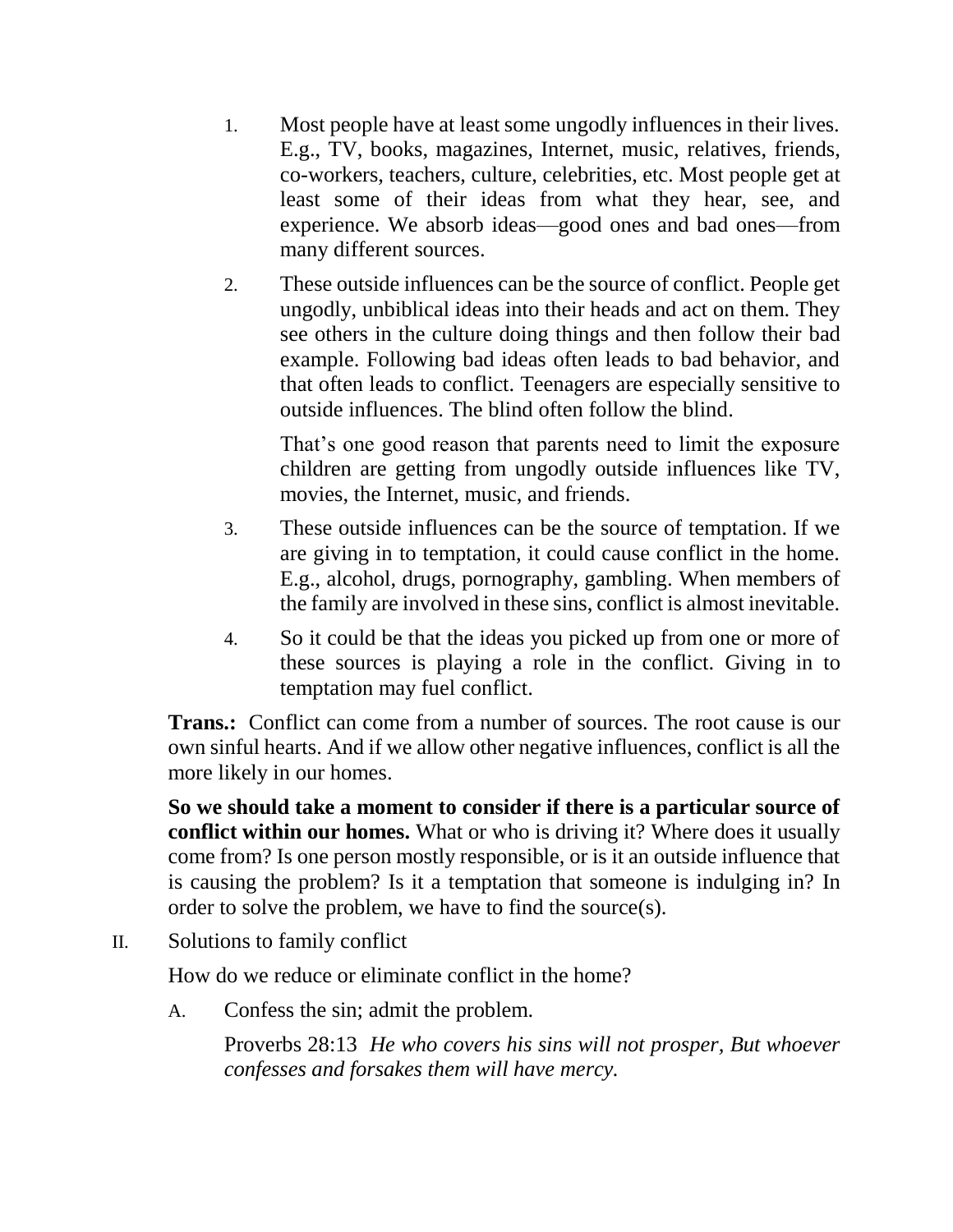- 1. Most people have at least some ungodly influences in their lives. E.g., TV, books, magazines, Internet, music, relatives, friends, co-workers, teachers, culture, celebrities, etc. Most people get at least some of their ideas from what they hear, see, and experience. We absorb ideas—good ones and bad ones—from many different sources.
- 2. These outside influences can be the source of conflict. People get ungodly, unbiblical ideas into their heads and act on them. They see others in the culture doing things and then follow their bad example. Following bad ideas often leads to bad behavior, and that often leads to conflict. Teenagers are especially sensitive to outside influences. The blind often follow the blind.

That's one good reason that parents need to limit the exposure children are getting from ungodly outside influences like TV, movies, the Internet, music, and friends.

- 3. These outside influences can be the source of temptation. If we are giving in to temptation, it could cause conflict in the home. E.g., alcohol, drugs, pornography, gambling. When members of the family are involved in these sins, conflict is almost inevitable.
- 4. So it could be that the ideas you picked up from one or more of these sources is playing a role in the conflict. Giving in to temptation may fuel conflict.

**Trans.:** Conflict can come from a number of sources. The root cause is our own sinful hearts. And if we allow other negative influences, conflict is all the more likely in our homes.

**So we should take a moment to consider if there is a particular source of conflict within our homes.** What or who is driving it? Where does it usually come from? Is one person mostly responsible, or is it an outside influence that is causing the problem? Is it a temptation that someone is indulging in? In order to solve the problem, we have to find the source(s).

II. Solutions to family conflict

How do we reduce or eliminate conflict in the home?

A. Confess the sin; admit the problem.

Proverbs 28:13 *He who covers his sins will not prosper, But whoever confesses and forsakes them will have mercy.*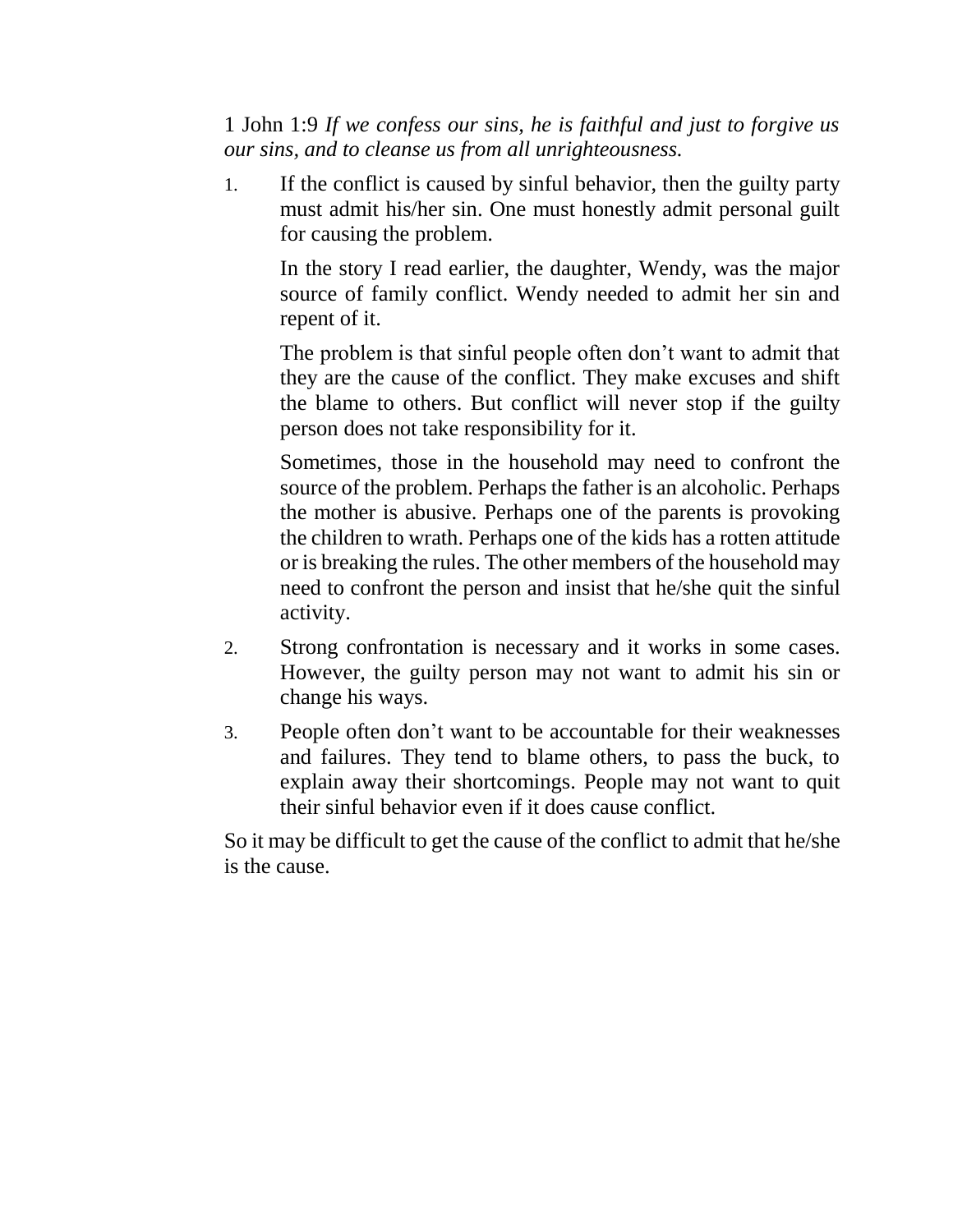1 John 1:9 *If we confess our sins, he is faithful and just to forgive us our sins, and to cleanse us from all unrighteousness.*

1. If the conflict is caused by sinful behavior, then the guilty party must admit his/her sin. One must honestly admit personal guilt for causing the problem.

In the story I read earlier, the daughter, Wendy, was the major source of family conflict. Wendy needed to admit her sin and repent of it.

The problem is that sinful people often don't want to admit that they are the cause of the conflict. They make excuses and shift the blame to others. But conflict will never stop if the guilty person does not take responsibility for it.

Sometimes, those in the household may need to confront the source of the problem. Perhaps the father is an alcoholic. Perhaps the mother is abusive. Perhaps one of the parents is provoking the children to wrath. Perhaps one of the kids has a rotten attitude or is breaking the rules. The other members of the household may need to confront the person and insist that he/she quit the sinful activity.

- 2. Strong confrontation is necessary and it works in some cases. However, the guilty person may not want to admit his sin or change his ways.
- 3. People often don't want to be accountable for their weaknesses and failures. They tend to blame others, to pass the buck, to explain away their shortcomings. People may not want to quit their sinful behavior even if it does cause conflict.

So it may be difficult to get the cause of the conflict to admit that he/she is the cause.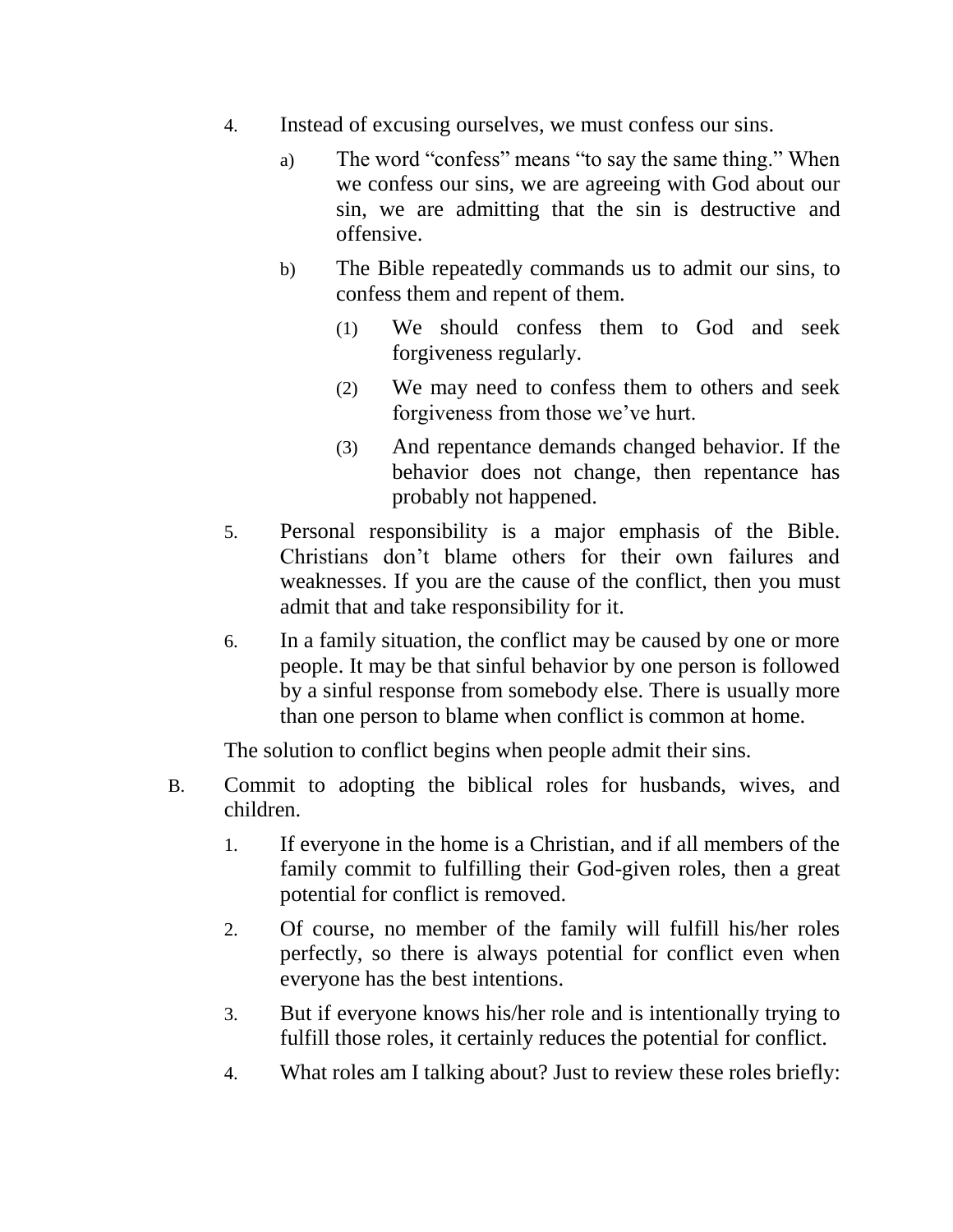- 4. Instead of excusing ourselves, we must confess our sins.
	- a) The word "confess" means "to say the same thing." When we confess our sins, we are agreeing with God about our sin, we are admitting that the sin is destructive and offensive.
	- b) The Bible repeatedly commands us to admit our sins, to confess them and repent of them.
		- (1) We should confess them to God and seek forgiveness regularly.
		- (2) We may need to confess them to others and seek forgiveness from those we've hurt.
		- (3) And repentance demands changed behavior. If the behavior does not change, then repentance has probably not happened.
- 5. Personal responsibility is a major emphasis of the Bible. Christians don't blame others for their own failures and weaknesses. If you are the cause of the conflict, then you must admit that and take responsibility for it.
- 6. In a family situation, the conflict may be caused by one or more people. It may be that sinful behavior by one person is followed by a sinful response from somebody else. There is usually more than one person to blame when conflict is common at home.

The solution to conflict begins when people admit their sins.

- B. Commit to adopting the biblical roles for husbands, wives, and children.
	- 1. If everyone in the home is a Christian, and if all members of the family commit to fulfilling their God-given roles, then a great potential for conflict is removed.
	- 2. Of course, no member of the family will fulfill his/her roles perfectly, so there is always potential for conflict even when everyone has the best intentions.
	- 3. But if everyone knows his/her role and is intentionally trying to fulfill those roles, it certainly reduces the potential for conflict.
	- 4. What roles am I talking about? Just to review these roles briefly: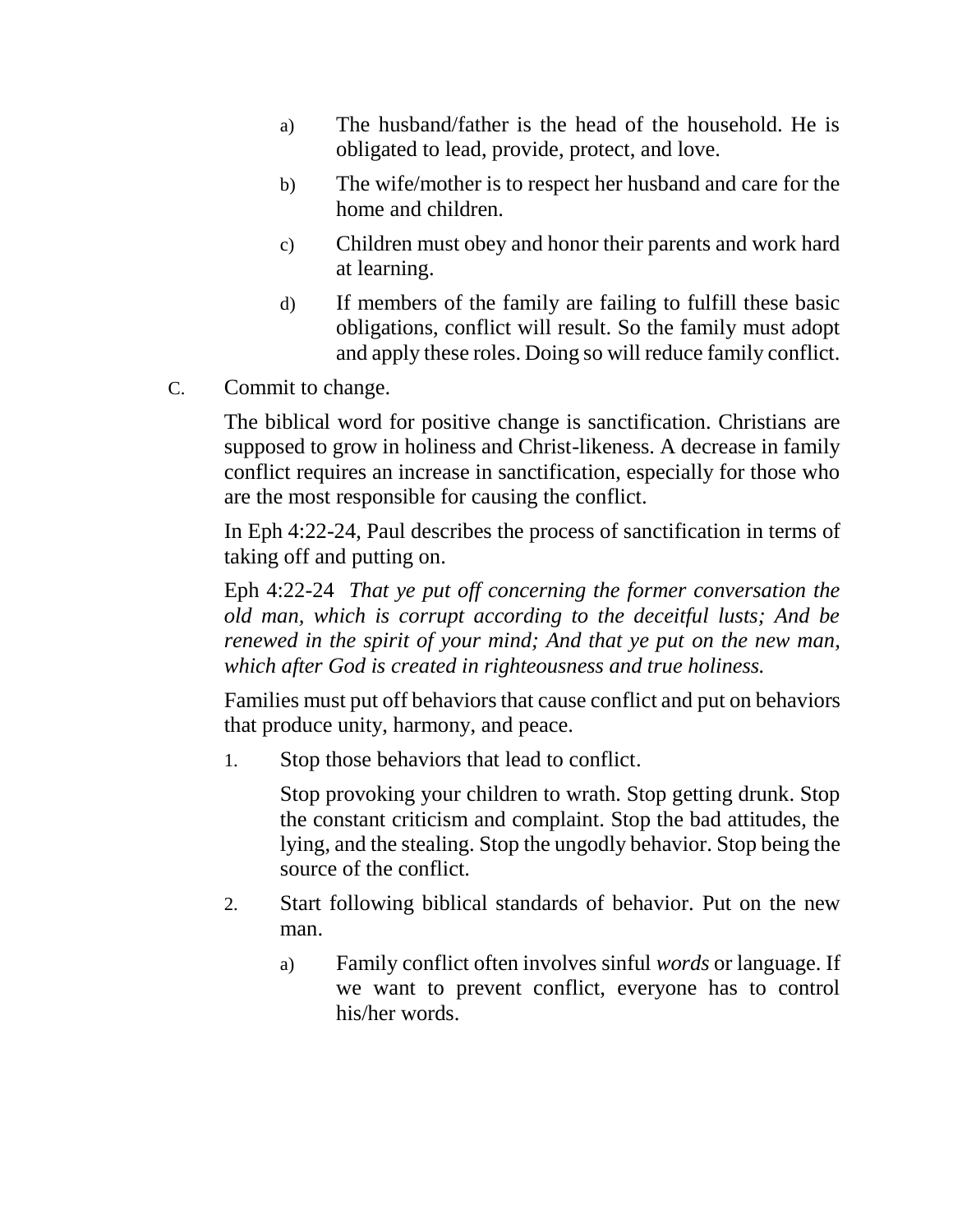- a) The husband/father is the head of the household. He is obligated to lead, provide, protect, and love.
- b) The wife/mother is to respect her husband and care for the home and children.
- c) Children must obey and honor their parents and work hard at learning.
- d) If members of the family are failing to fulfill these basic obligations, conflict will result. So the family must adopt and apply these roles. Doing so will reduce family conflict.
- C. Commit to change.

The biblical word for positive change is sanctification. Christians are supposed to grow in holiness and Christ-likeness. A decrease in family conflict requires an increase in sanctification, especially for those who are the most responsible for causing the conflict.

In Eph 4:22-24, Paul describes the process of sanctification in terms of taking off and putting on.

Eph 4:22-24 *That ye put off concerning the former conversation the old man, which is corrupt according to the deceitful lusts; And be renewed in the spirit of your mind; And that ye put on the new man, which after God is created in righteousness and true holiness.*

Families must put off behaviors that cause conflict and put on behaviors that produce unity, harmony, and peace.

1. Stop those behaviors that lead to conflict.

Stop provoking your children to wrath. Stop getting drunk. Stop the constant criticism and complaint. Stop the bad attitudes, the lying, and the stealing. Stop the ungodly behavior. Stop being the source of the conflict.

- 2. Start following biblical standards of behavior. Put on the new man.
	- a) Family conflict often involves sinful *words* or language. If we want to prevent conflict, everyone has to control his/her words.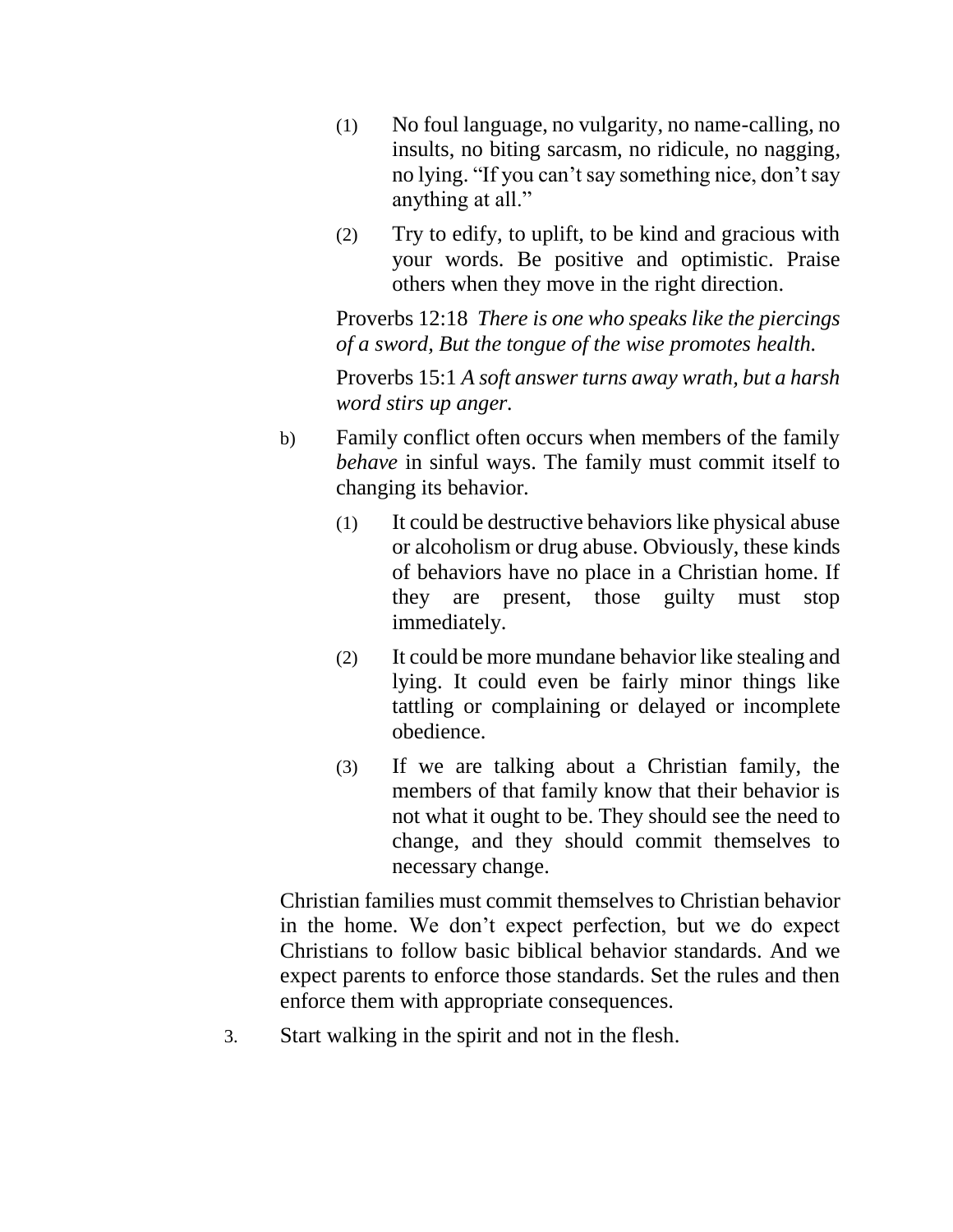- (1) No foul language, no vulgarity, no name-calling, no insults, no biting sarcasm, no ridicule, no nagging, no lying. "If you can't say something nice, don't say anything at all."
- (2) Try to edify, to uplift, to be kind and gracious with your words. Be positive and optimistic. Praise others when they move in the right direction.

Proverbs 12:18 *There is one who speaks like the piercings of a sword, But the tongue of the wise promotes health.*

Proverbs 15:1 *A soft answer turns away wrath, but a harsh word stirs up anger.*

- b) Family conflict often occurs when members of the family *behave* in sinful ways. The family must commit itself to changing its behavior.
	- (1) It could be destructive behaviors like physical abuse or alcoholism or drug abuse. Obviously, these kinds of behaviors have no place in a Christian home. If they are present, those guilty must stop immediately.
	- (2) It could be more mundane behavior like stealing and lying. It could even be fairly minor things like tattling or complaining or delayed or incomplete obedience.
	- (3) If we are talking about a Christian family, the members of that family know that their behavior is not what it ought to be. They should see the need to change, and they should commit themselves to necessary change.

Christian families must commit themselves to Christian behavior in the home. We don't expect perfection, but we do expect Christians to follow basic biblical behavior standards. And we expect parents to enforce those standards. Set the rules and then enforce them with appropriate consequences.

3. Start walking in the spirit and not in the flesh.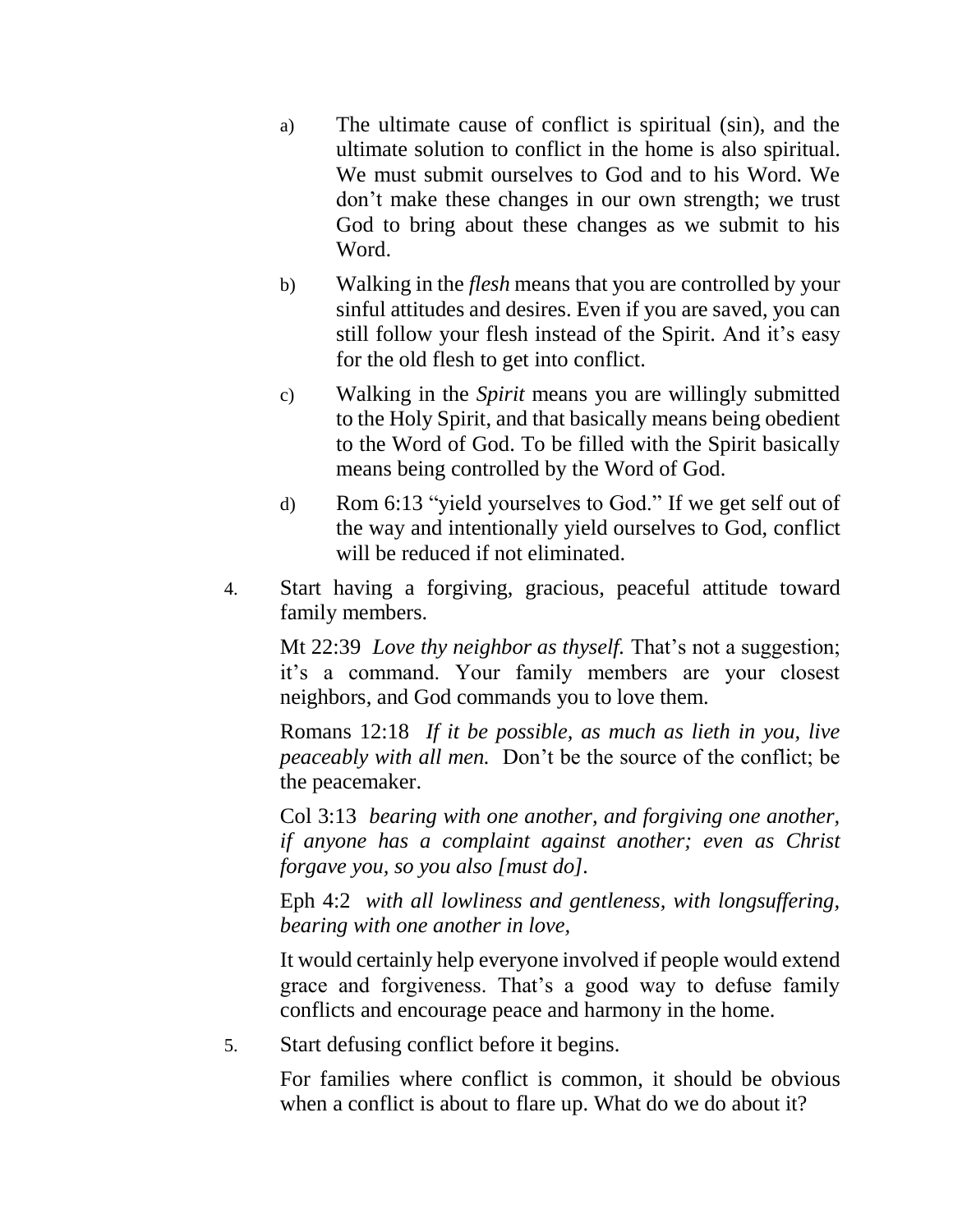- a) The ultimate cause of conflict is spiritual (sin), and the ultimate solution to conflict in the home is also spiritual. We must submit ourselves to God and to his Word. We don't make these changes in our own strength; we trust God to bring about these changes as we submit to his Word.
- b) Walking in the *flesh* means that you are controlled by your sinful attitudes and desires. Even if you are saved, you can still follow your flesh instead of the Spirit. And it's easy for the old flesh to get into conflict.
- c) Walking in the *Spirit* means you are willingly submitted to the Holy Spirit, and that basically means being obedient to the Word of God. To be filled with the Spirit basically means being controlled by the Word of God.
- d) Rom 6:13 "yield yourselves to God." If we get self out of the way and intentionally yield ourselves to God, conflict will be reduced if not eliminated.
- 4. Start having a forgiving, gracious, peaceful attitude toward family members.

Mt 22:39 *Love thy neighbor as thyself.* That's not a suggestion; it's a command. Your family members are your closest neighbors, and God commands you to love them.

Romans 12:18 *If it be possible, as much as lieth in you, live peaceably with all men.* Don't be the source of the conflict; be the peacemaker.

Col 3:13 *bearing with one another, and forgiving one another, if anyone has a complaint against another; even as Christ forgave you, so you also [must do].*

Eph 4:2 *with all lowliness and gentleness, with longsuffering, bearing with one another in love,*

It would certainly help everyone involved if people would extend grace and forgiveness. That's a good way to defuse family conflicts and encourage peace and harmony in the home.

5. Start defusing conflict before it begins.

For families where conflict is common, it should be obvious when a conflict is about to flare up. What do we do about it?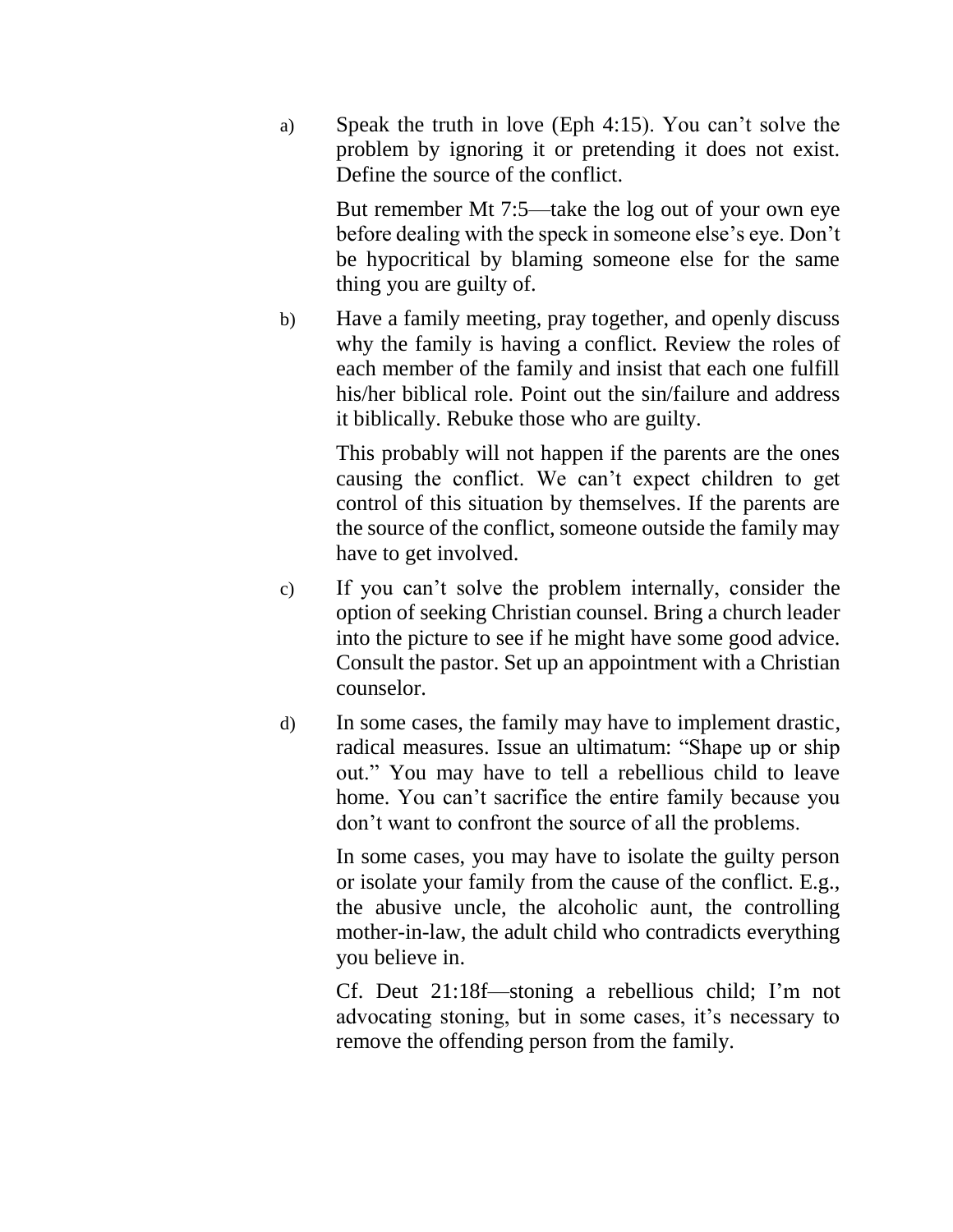a) Speak the truth in love (Eph 4:15). You can't solve the problem by ignoring it or pretending it does not exist. Define the source of the conflict.

But remember Mt 7:5—take the log out of your own eye before dealing with the speck in someone else's eye. Don't be hypocritical by blaming someone else for the same thing you are guilty of.

b) Have a family meeting, pray together, and openly discuss why the family is having a conflict. Review the roles of each member of the family and insist that each one fulfill his/her biblical role. Point out the sin/failure and address it biblically. Rebuke those who are guilty.

This probably will not happen if the parents are the ones causing the conflict. We can't expect children to get control of this situation by themselves. If the parents are the source of the conflict, someone outside the family may have to get involved.

- c) If you can't solve the problem internally, consider the option of seeking Christian counsel. Bring a church leader into the picture to see if he might have some good advice. Consult the pastor. Set up an appointment with a Christian counselor.
- d) In some cases, the family may have to implement drastic, radical measures. Issue an ultimatum: "Shape up or ship out." You may have to tell a rebellious child to leave home. You can't sacrifice the entire family because you don't want to confront the source of all the problems.

In some cases, you may have to isolate the guilty person or isolate your family from the cause of the conflict. E.g., the abusive uncle, the alcoholic aunt, the controlling mother-in-law, the adult child who contradicts everything you believe in.

Cf. Deut 21:18f—stoning a rebellious child; I'm not advocating stoning, but in some cases, it's necessary to remove the offending person from the family.